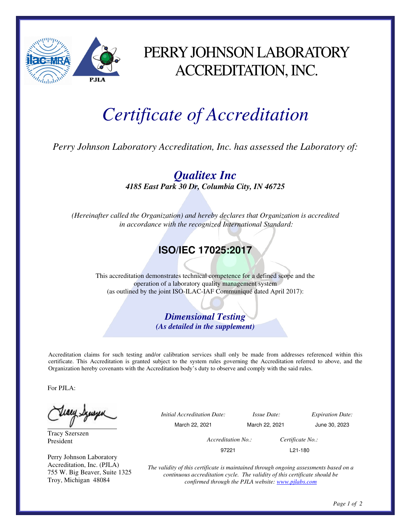

## PERRY JOHNSON LABORATORY ACCREDITATION, INC.

# *Certificate of Accreditation*

*Perry Johnson Laboratory Accreditation, Inc. has assessed the Laboratory of:* 

*Qualitex Inc 4185 East Park 30 Dr, Columbia City, IN 46725* 

*(Hereinafter called the Organization) and hereby declares that Organization is accredited in accordance with the recognized International Standard:* 

### **ISO/IEC 17025:2017**

This accreditation demonstrates technical competence for a defined scope and the operation of a laboratory quality management system (as outlined by the joint ISO-ILAC-IAF Communiqué dated April 2017):

> *Dimensional Testing (As detailed in the supplement)*

Accreditation claims for such testing and/or calibration services shall only be made from addresses referenced within this certificate. This Accreditation is granted subject to the system rules governing the Accreditation referred to above, and the Organization hereby covenants with the Accreditation body's duty to observe and comply with the said rules.

For PJLA:

teacy Synsyn

Tracy Szerszen President

Perry Johnson Laboratory Accreditation, Inc. (PJLA) 755 W. Big Beaver, Suite 1325 Troy, Michigan 48084

 *Initial Accreditation Date: Issue Date: Expiration Date:*  March 22, 2021 March 22, 2021 June 30, 2023 *Accreditation No.: Certificate No.:*  97221 L21-180

> *The validity of this certificate is maintained through ongoing assessments based on a continuous accreditation cycle. The validity of this certificate should be confirmed through the PJLA website: www.pjlabs.com*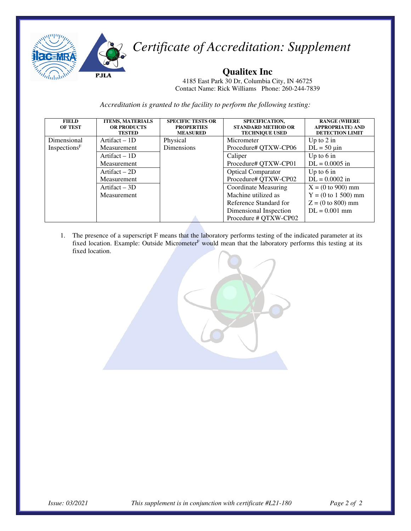

*Certificate of Accreditation: Supplement* 

#### **Qualitex Inc**

4185 East Park 30 Dr, Columbia City, IN 46725 Contact Name: Rick Williams Phone: 260-244-7839

*Accreditation is granted to the facility to perform the following testing:*

| <b>FIELD</b><br><b>OF TEST</b> | <b>ITEMS, MATERIALS</b><br><b>OR PRODUCTS</b><br><b>TESTED</b> | <b>SPECIFIC TESTS OR</b><br><b>PROPERTIES</b><br><b>MEASURED</b> | SPECIFICATION,<br><b>STANDARD METHOD OR</b><br><b>TECHNIQUE USED</b> | <b>RANGE (WHERE</b><br><b>APPROPRIATE) AND</b><br><b>DETECTION LIMIT</b> |
|--------------------------------|----------------------------------------------------------------|------------------------------------------------------------------|----------------------------------------------------------------------|--------------------------------------------------------------------------|
| Dimensional                    | Artifact $-1D$                                                 | Physical                                                         | Micrometer                                                           | Up to $2$ in                                                             |
| $In_{spections}$ F             | Measurement                                                    | <b>Dimensions</b>                                                | Procedure# QTXW-CP06                                                 | $DL = 50 \mu in$                                                         |
|                                | Artifact $-1D$                                                 |                                                                  | Caliper                                                              | Up to $6 \text{ in}$                                                     |
|                                | Measurement                                                    |                                                                  | Procedure# QTXW-CP01                                                 | $DL = 0.0005$ in                                                         |
|                                | Artifact $-2D$                                                 |                                                                  | <b>Optical Comparator</b>                                            | Up to $6$ in                                                             |
|                                | Measurement                                                    |                                                                  | Procedure# QTXW-CP02                                                 | $DL = 0.0002$ in                                                         |
|                                | Artifact $-3D$                                                 |                                                                  | Coordinate Measuring                                                 | $X = (0 to 900)$ mm                                                      |
|                                | Measurement                                                    |                                                                  | Machine utilized as                                                  | $Y = (0 to 1 500)$ mm                                                    |
|                                |                                                                |                                                                  | Reference Standard for                                               | $Z = (0 to 800)$ mm                                                      |
|                                |                                                                |                                                                  | Dimensional Inspection                                               | $DL = 0.001$ mm                                                          |
|                                |                                                                |                                                                  | Procedure # QTXW-CP02                                                |                                                                          |

1. The presence of a superscript F means that the laboratory performs testing of the indicated parameter at its fixed location. Example: Outside Micrometer<sup>F</sup> would mean that the laboratory performs this testing at its fixed location.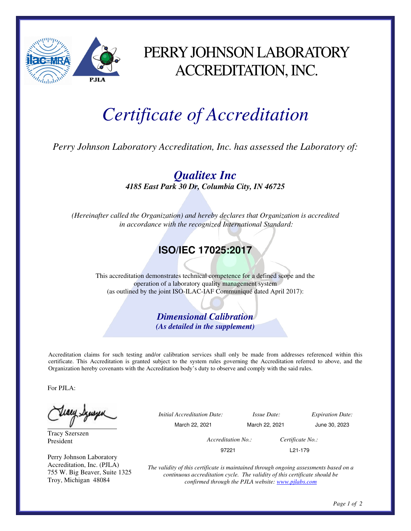

## PERRY JOHNSON LABORATORY ACCREDITATION, INC.

# *Certificate of Accreditation*

*Perry Johnson Laboratory Accreditation, Inc. has assessed the Laboratory of:* 

*Qualitex Inc 4185 East Park 30 Dr, Columbia City, IN 46725* 

*(Hereinafter called the Organization) and hereby declares that Organization is accredited in accordance with the recognized International Standard:* 

### **ISO/IEC 17025:2017**

This accreditation demonstrates technical competence for a defined scope and the operation of a laboratory quality management system (as outlined by the joint ISO-ILAC-IAF Communiqué dated April 2017):

> *Dimensional Calibration (As detailed in the supplement)*

Accreditation claims for such testing and/or calibration services shall only be made from addresses referenced within this certificate. This Accreditation is granted subject to the system rules governing the Accreditation referred to above, and the Organization hereby covenants with the Accreditation body's duty to observe and comply with the said rules.

For PJLA:

Teacy Synsyn

Tracy Szerszen President

Perry Johnson Laboratory Accreditation, Inc. (PJLA) 755 W. Big Beaver, Suite 1325 Troy, Michigan 48084

 *Initial Accreditation Date: Issue Date: Expiration Date:*  March 22, 2021 March 22, 2021 June 30, 2023 *Accreditation No.: Certificate No.:*  97221 L21-179

> *The validity of this certificate is maintained through ongoing assessments based on a continuous accreditation cycle. The validity of this certificate should be confirmed through the PJLA website: www.pjlabs.com*